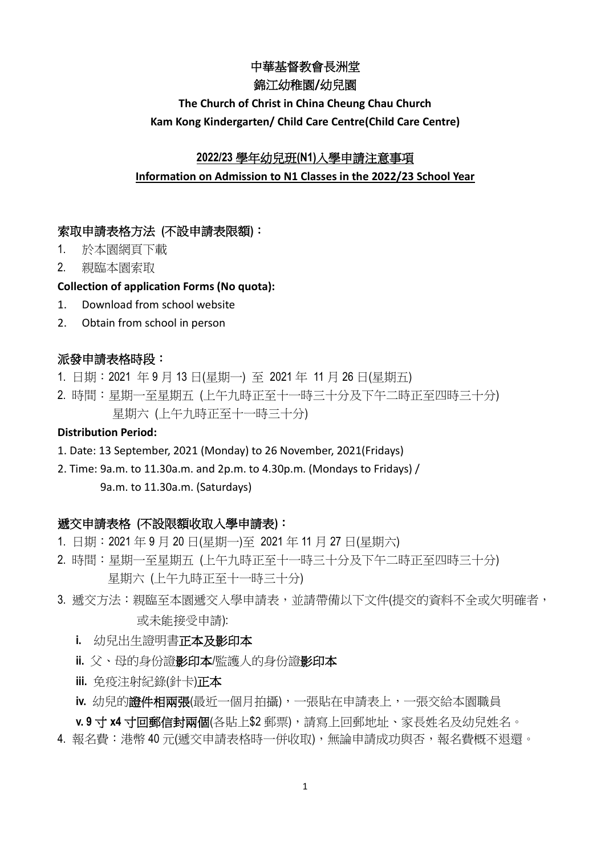## 中華基督教會長洲堂

#### 錦江幼稚園**/**幼兒園

# **The Church of Christ in China Cheung Chau Church Kam Kong Kindergarten/ Child Care Centre(Child Care Centre)**

#### **2022/23** 學年幼兒班**(N1)**入學申請注意事項

#### **Information on Admission to N1 Classes in the 2022/23 School Year**

#### 索取申請表格方法 **(**不設申請表限額**)**:

- 1. 於本園網頁下載
- 2. 親臨本園索取

#### **Collection of application Forms (No quota):**

- 1. Download from school website
- 2. Obtain from school in person

#### 派發申請表格時段:

- 1. 日期:2021 年 9 月 13 日(星期一) 至 2021 年 11 月 26 日(星期五)
- 2. 時間:星期一至星期五 (上午九時正至十一時三十分及下午二時正至四時三十分) 星期六 (上午九時正至十一時三十分)

#### **Distribution Period:**

- 1. Date: 13 September, 2021 (Monday) to 26 November, 2021(Fridays)
- 2. Time: 9a.m. to 11.30a.m. and 2p.m. to 4.30p.m. (Mondays to Fridays) / 9a.m. to 11.30a.m. (Saturdays)

#### 遞交申請表格 **(**不設限額收取入學申請表**)**:

- 1. 日期:2021 年 9 月 20 日(星期一)至 2021 年 11 月 27 日(星期六)
- 2. 時間:星期一至星期五 (上午九時正至十一時三十分及下午二時正至四時三十分) 星期六 (上午九時正至十一時三十分)
- 3. 褫交方法: 親臨至本園搋交入學申請表,並請帶備以下文件(提交的資料不全或欠明確者, 或未能接受申請):
	- **i.** 幼兒出生證明書正本及影印本
	- **ii.** 父、母的身份證影印本/監護人的身份證影印本
	- **iii.** 免疫注射紀錄(針卡)正本
	- **iv.** 幼兒的證件相兩張(最近一個月拍攝),一張貼在申請表上,一張交給本園職員

**v. 9** 寸 **x4** 寸回郵信封兩個(各貼上\$2 郵票),請寫上回郵地址、家長姓名及幼兒姓名。

4. 報名費:港幣 40 元(搋交申請表格時一併收取), 無論申請成功與否, 報名費概不退還。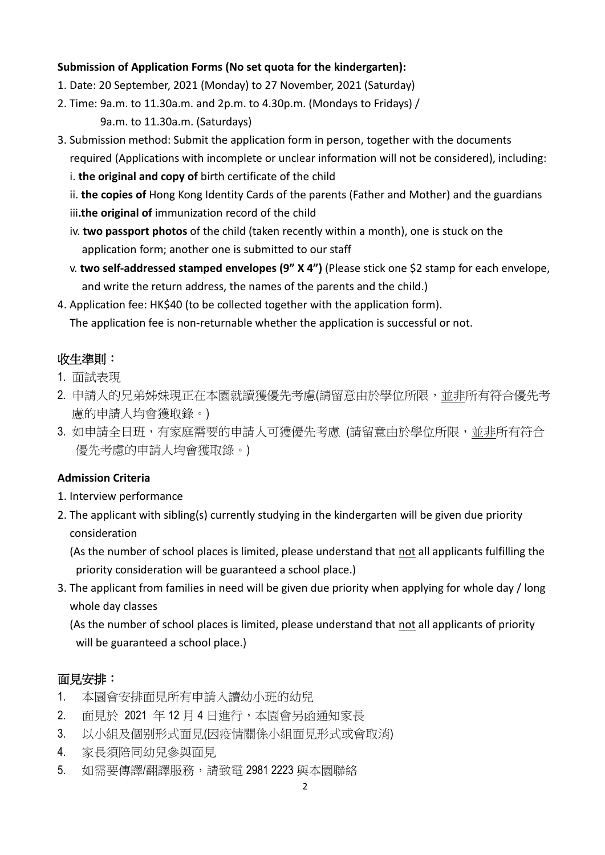## **Submission of Application Forms (No set quota for the kindergarten):**

- 1. Date: 20 September, 2021 (Monday) to 27 November, 2021 (Saturday)
- 2. Time: 9a.m. to 11.30a.m. and 2p.m. to 4.30p.m. (Mondays to Fridays) / 9a.m. to 11.30a.m. (Saturdays)
- 3. Submission method: Submit the application form in person, together with the documents required (Applications with incomplete or unclear information will not be considered), including:
	- i. **the original and copy of** birth certificate of the child
	- ii. **the copies of** Hong Kong Identity Cards of the parents (Father and Mother) and the guardians
	- iii**.the original of** immunization record of the child
	- iv. **two passport photos** of the child (taken recently within a month), one is stuck on the application form; another one is submitted to our staff
	- v. **two self-addressed stamped envelopes (9" X 4")** (Please stick one \$2 stamp for each envelope, and write the return address, the names of the parents and the child.)
- 4. Application fee: HK\$40 (to be collected together with the application form).

The application fee is non-returnable whether the application is successful or not.

# 收生準則:

- 1. 面試表現
- 2. 申請人的兄弟姊妹現正在本園就讀獲優先考慮(請留意由於學位所限,並非所有符合優先考 慮的申請人均會獲取錄。)
- 3. 如申請全日班,有家庭需要的申請人可獲優先考慮 (請留意由於學位所限,並非所有符合 優先考慮的申請人均會獲取錄。)

## **Admission Criteria**

- 1. Interview performance
- 2. The applicant with sibling(s) currently studying in the kindergarten will be given due priority consideration

(As the number of school places is limited, please understand that not all applicants fulfilling the priority consideration will be guaranteed a school place.)

3. The applicant from families in need will be given due priority when applying for whole day / long whole day classes

(As the number of school places is limited, please understand that not all applicants of priority will be guaranteed a school place.)

## 面見安排:

- 1. 本園會安排面見所有申請入讀幼小班的幼兒
- 2. 面見於 2021 年 12 月 4 日進行,本園會另函通知家長
- 3. 以小組及個别形式面見(因疫情關係小組面見形式或會取消)
- 4. 家長須陪同幼兒參與面見
- 5. 如需要傳譯/翻譯服務,請致電 2981 2223 與本園聯絡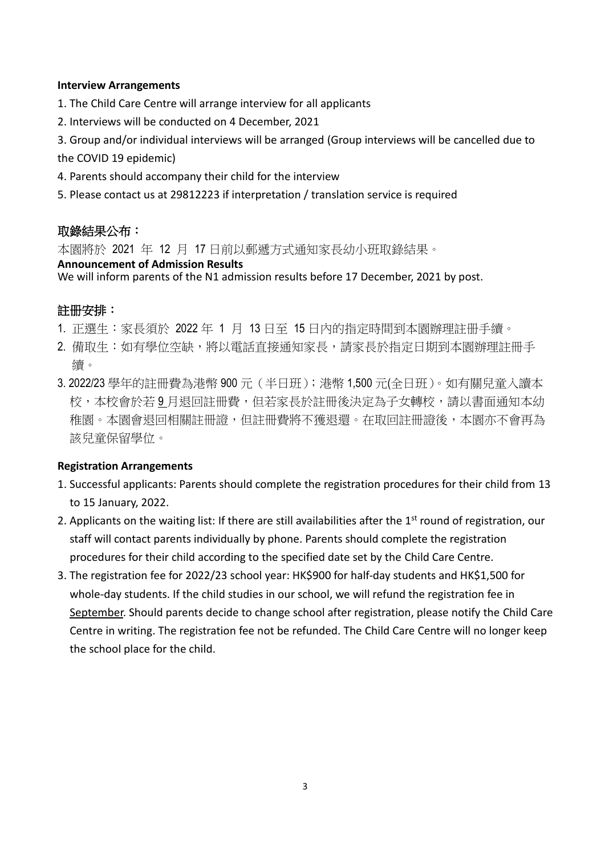#### **Interview Arrangements**

- 1. The Child Care Centre will arrange interview for all applicants
- 2. Interviews will be conducted on 4 December, 2021
- 3. Group and/or individual interviews will be arranged (Group interviews will be cancelled due to the COVID 19 epidemic)
- 4. Parents should accompany their child for the interview
- 5. Please contact us at 29812223 if interpretation / translation service is required

## 取錄結果公布:

本園將於 2021 年 12 月 17 日前以郵遞方式通知家長幼小班取錄結果。

#### **Announcement of Admission Results**

We will inform parents of the N1 admission results before 17 December, 2021 by post.

# 註册安排:

- 1. 正選生:家長須於 2022 年 1 月 13 日至 15 日內的指定時間到本園辦理註册手續。
- 2. 備取生:如有學位空缺,將以電話直接通知家長,請家長於指定日期到本園辦理註冊手 續。
- 3. 2022/23 學年的註冊費為港幣 900 元(半日班);港幣 1,500 元(全日班)。如有關兒童入讀本 校,本校會於若 9 月退回註冊費,但若家長於註冊後決定為子女轉校,請以書面通知本幼 稚園。本園會退回相關註冊證,但註冊費將不獲退還。在取回註冊證後,本園亦不會再為 該兒童保留學位。

## **Registration Arrangements**

- 1. Successful applicants: Parents should complete the registration procedures for their child from 13 to 15 January, 2022.
- 2. Applicants on the waiting list: If there are still availabilities after the 1<sup>st</sup> round of registration, our staff will contact parents individually by phone. Parents should complete the registration procedures for their child according to the specified date set by the Child Care Centre.
- 3. The registration fee for 2022/23 school year: HK\$900 for half-day students and HK\$1,500 for whole-day students. If the child studies in our school, we will refund the registration fee in September. Should parents decide to change school after registration, please notify the Child Care Centre in writing. The registration fee not be refunded. The Child Care Centre will no longer keep the school place for the child.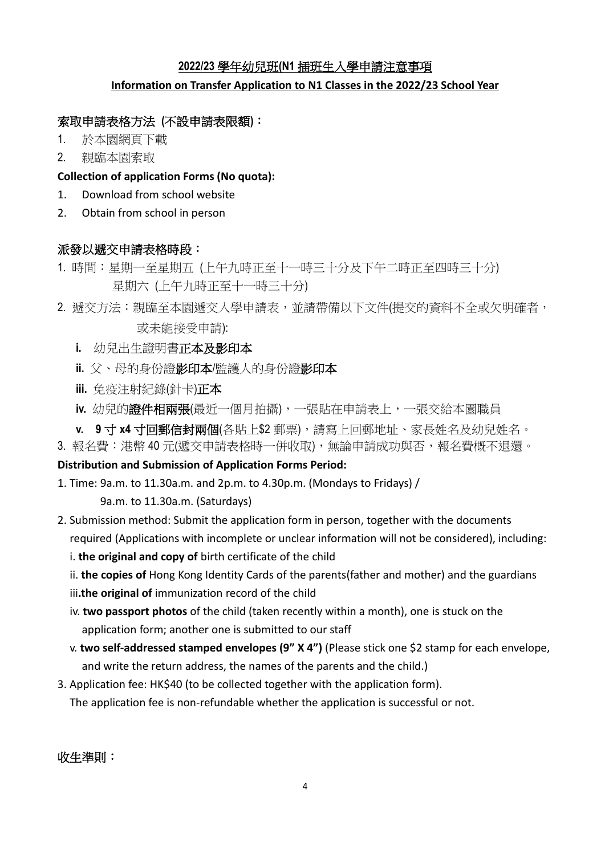# **2022/23** 學年幼兒班**(N1** 插班生入學申請注意事項

## **Information on Transfer Application to N1 Classes in the 2022/23 School Year**

# 索取申請表格方法 **(**不設申請表限額**)**:

- 1. 於本園網頁下載
- 2. 親臨本園索取

## **Collection of application Forms (No quota):**

- 1. Download from school website
- 2. Obtain from school in person

## 派發以遞交申請表格時段:

- 1. 時間:星期一至星期五 (上午九時正至十一時三十分及下午二時正至四時三十分) 星期六 (上午九時正至十一時三十分)
- 2. 搋交方法: 親臨至本園遞交入學申請表,並請帶備以下文件(提交的資料不全或欠明確者, 或未能接受申請):
	- **i.** 幼兒出生證明書正本及影印本
	- **ii.** 父、母的身份證影印本/監護人的身份證影印本
	- **iii.** 免疫注射紀錄(針卡)正本
	- **iv.** 幼兒的證件相兩張(最近一個月拍攝),一張貼在申請表上,一張交給本園職員
	- **v. 9** 寸 **x4** 寸回郵信封兩個(各貼上\$2 郵票),請寫上回郵地址、家長姓名及幼兒姓名。
- 3. 報名費:港幣 40 元(遞交申請表格時一併收取),無論申請成功與否,報名費概不退還。

# **Distribution and Submission of Application Forms Period:**

1. Time: 9a.m. to 11.30a.m. and 2p.m. to 4.30p.m. (Mondays to Fridays) /

9a.m. to 11.30a.m. (Saturdays)

- 2. Submission method: Submit the application form in person, together with the documents required (Applications with incomplete or unclear information will not be considered), including:
	- i. **the original and copy of** birth certificate of the child
	- ii. **the copies of** Hong Kong Identity Cards of the parents(father and mother) and the guardians
	- iii**.the original of** immunization record of the child
	- iv. **two passport photos** of the child (taken recently within a month), one is stuck on the application form; another one is submitted to our staff
	- v. **two self-addressed stamped envelopes (9" X 4")** (Please stick one \$2 stamp for each envelope, and write the return address, the names of the parents and the child.)
- 3. Application fee: HK\$40 (to be collected together with the application form). The application fee is non-refundable whether the application is successful or not.

收生準則: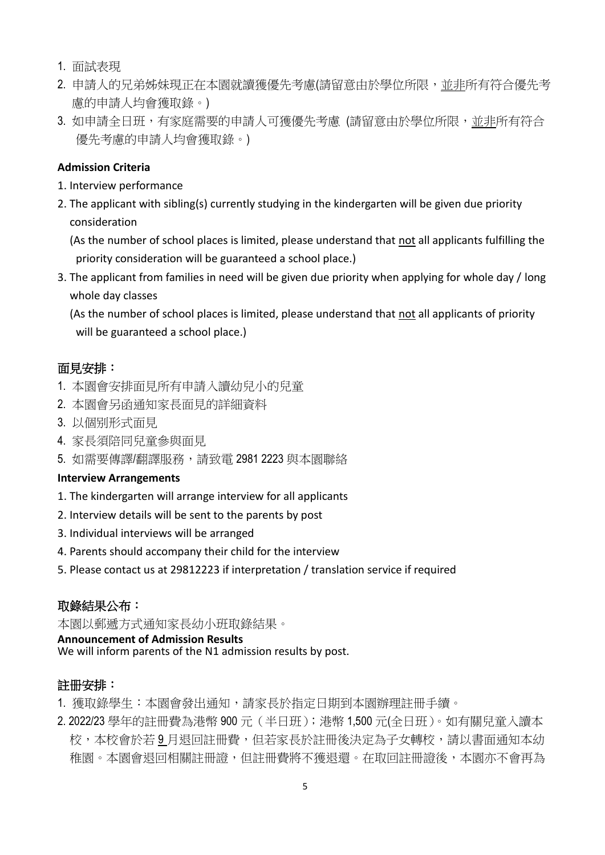- 1. 面試表現
- 2. 申請人的兄弟姊妹現正在本園就讀獲優先考慮(請留意由於學位所限,並非所有符合優先考 慮的申請人均會獲取錄。)
- 3. 如申請全日班,有家庭需要的申請人可獲優先考慮 (請留意由於學位所限,並非所有符合 優先考慮的申請人均會獲取錄。)

## **Admission Criteria**

- 1. Interview performance
- 2. The applicant with sibling(s) currently studying in the kindergarten will be given due priority consideration

(As the number of school places is limited, please understand that not all applicants fulfilling the priority consideration will be guaranteed a school place.)

3. The applicant from families in need will be given due priority when applying for whole day / long whole day classes

(As the number of school places is limited, please understand that not all applicants of priority will be guaranteed a school place.)

# 面見安排:

- 1. 本園會安排面見所有申請入讀幼兒小的兒童
- 2. 本園會另函通知家長面見的詳細資料
- 3. 以個别形式面見
- 4. 家長須陪同兒童參與面見
- 5. 如需要傳譯/翻譯服務,請致電 2981 2223 與本園聯絡

## **Interview Arrangements**

- 1. The kindergarten will arrange interview for all applicants
- 2. Interview details will be sent to the parents by post
- 3. Individual interviews will be arranged
- 4. Parents should accompany their child for the interview
- 5. Please contact us at 29812223 if interpretation / translation service if required

# 取錄結果公布:

本園以郵遞方式通知家長幼小班取錄結果。

#### **Announcement of Admission Results**

We will inform parents of the N1 admission results by post.

# 註册安排:

- 1. 獲取錄學生:本園會發出通知,請家長於指定日期到本園辦理註冊手續。
- 2. 2022/23 學年的註冊費為港幣 900 元(半日班);港幣 1,500 元(全日班)。如有關兒童入讀本 校,本校會於若 9 月退回註冊費,但若家長於註冊後決定為子女轉校,請以書面通知本幼 稚園。本園會退回相關註冊證,但註冊費將不獲退還。在取回註冊證後,本園亦不會再為